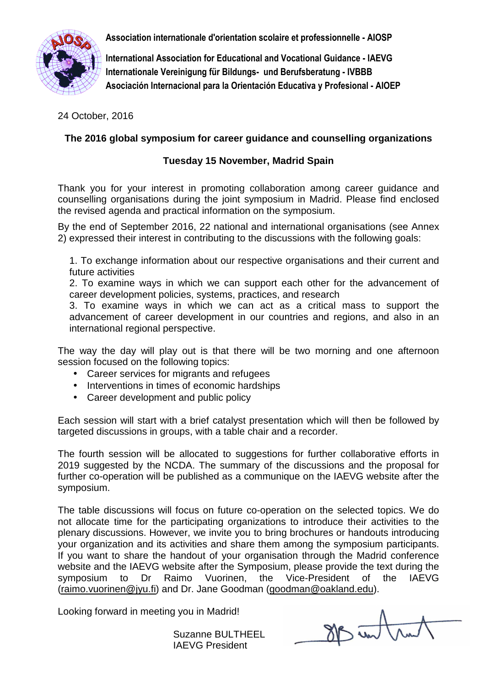**Association internationale d'orientation scolaire et professionnelle - AIOSP** 



**International Association for Educational and Vocational Guidance - IAEVG Internationale Vereinigung für Bildungs- und Berufsberatung - IVBBB Asociación Internacional para la Orientación Educativa y Profesional - AIOEP**

24 October, 2016

# **The 2016 global symposium for career guidance and counselling organizations**

## **Tuesday 15 November, Madrid Spain**

Thank you for your interest in promoting collaboration among career guidance and counselling organisations during the joint symposium in Madrid. Please find enclosed the revised agenda and practical information on the symposium.

By the end of September 2016, 22 national and international organisations (see Annex 2) expressed their interest in contributing to the discussions with the following goals:

1. To exchange information about our respective organisations and their current and future activities

2. To examine ways in which we can support each other for the advancement of career development policies, systems, practices, and research

3. To examine ways in which we can act as a critical mass to support the advancement of career development in our countries and regions, and also in an international regional perspective.

The way the day will play out is that there will be two morning and one afternoon session focused on the following topics:

- Career services for migrants and refugees
- Interventions in times of economic hardships
- Career development and public policy

Each session will start with a brief catalyst presentation which will then be followed by targeted discussions in groups, with a table chair and a recorder.

The fourth session will be allocated to suggestions for further collaborative efforts in 2019 suggested by the NCDA. The summary of the discussions and the proposal for further co-operation will be published as a communique on the IAEVG website after the symposium.

The table discussions will focus on future co-operation on the selected topics. We do not allocate time for the participating organizations to introduce their activities to the plenary discussions. However, we invite you to bring brochures or handouts introducing your organization and its activities and share them among the symposium participants. If you want to share the handout of your organisation through the Madrid conference website and the IAEVG website after the Symposium, please provide the text during the symposium to Dr Raimo Vuorinen, the Vice-President of the IAEVG (raimo.vuorinen@jyu.fi) and Dr. Jane Goodman (goodman@oakland.edu).

Looking forward in meeting you in Madrid!

Suzanne BULTHEEL IAEVG President

SP untru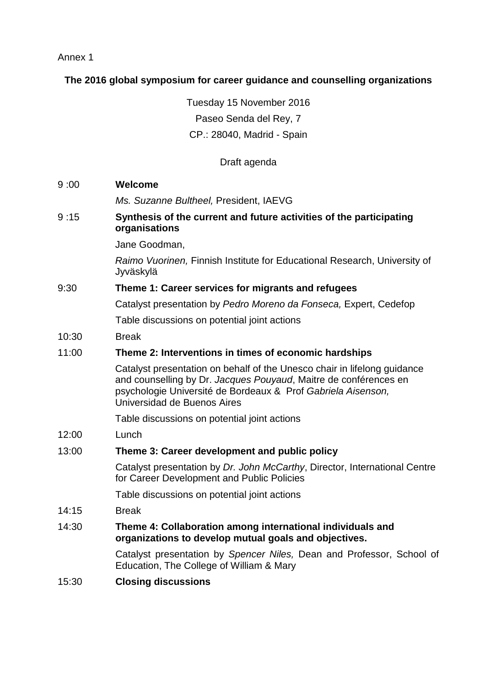Annex 1

## **The 2016 global symposium for career guidance and counselling organizations**

Tuesday 15 November 2016 Paseo Senda del Rey, 7 CP.: 28040, Madrid - Spain

## Draft agenda

9 :00 **Welcome**

Ms. Suzanne Bultheel, President, IAEVG

9 :15 **Synthesis of the current and future activities of the participating organisations**

Jane Goodman,

Raimo Vuorinen, Finnish Institute for Educational Research, University of Jyväskylä

### 9:30 **Theme 1: Career services for migrants and refugees**

Catalyst presentation by Pedro Moreno da Fonseca, Expert, Cedefop

Table discussions on potential joint actions

10:30 Break

### 11:00 **Theme 2: Interventions in times of economic hardships**

Catalyst presentation on behalf of the Unesco chair in lifelong guidance and counselling by Dr. Jacques Pouyaud, Maitre de conférences en psychologie Université de Bordeaux & Prof Gabriela Aisenson, Universidad de Buenos Aires

Table discussions on potential joint actions

12:00 Lunch

### 13:00 **Theme 3: Career development and public policy**

Catalyst presentation by Dr. John McCarthy, Director, International Centre for Career Development and Public Policies

Table discussions on potential joint actions

- 14:15 Break
- 14:30 **Theme 4: Collaboration among international individuals and organizations to develop mutual goals and objectives.**

Catalyst presentation by Spencer Niles, Dean and Professor, School of Education, The College of William & Mary

15:30 **Closing discussions**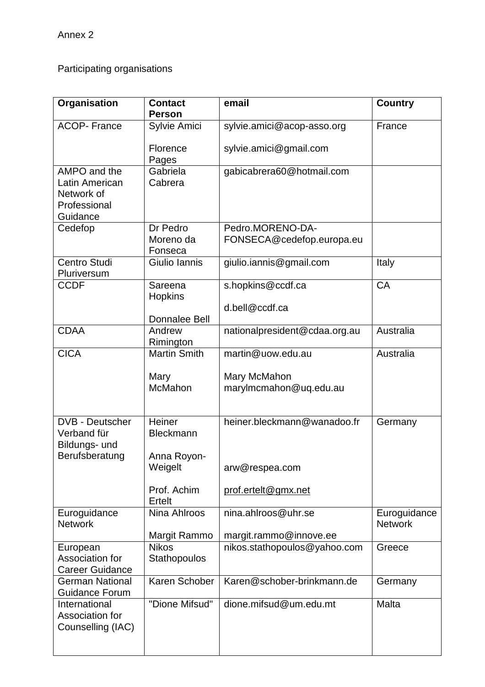Participating organisations

| Organisation                                    | <b>Contact</b><br><b>Person</b> | email                         | <b>Country</b>                 |
|-------------------------------------------------|---------------------------------|-------------------------------|--------------------------------|
| <b>ACOP-France</b>                              | Sylvie Amici                    | sylvie.amici@acop-asso.org    | France                         |
|                                                 |                                 |                               |                                |
|                                                 | Florence<br>Pages               | sylvie.amici@gmail.com        |                                |
| AMPO and the                                    | Gabriela                        | gabicabrera60@hotmail.com     |                                |
| Latin American<br>Network of                    | Cabrera                         |                               |                                |
| Professional                                    |                                 |                               |                                |
| Guidance                                        |                                 |                               |                                |
| Cedefop                                         | Dr Pedro                        | Pedro.MORENO-DA-              |                                |
|                                                 | Moreno da<br>Fonseca            | FONSECA@cedefop.europa.eu     |                                |
| Centro Studi<br>Pluriversum                     | Giulio Iannis                   | giulio.iannis@gmail.com       | Italy                          |
| <b>CCDF</b>                                     | Sareena<br>Hopkins              | s.hopkins@ccdf.ca             | CA                             |
|                                                 |                                 | d.bell@ccdf.ca                |                                |
|                                                 | <b>Donnalee Bell</b>            |                               |                                |
| <b>CDAA</b>                                     | Andrew<br>Rimington             | nationalpresident@cdaa.org.au | Australia                      |
| <b>CICA</b>                                     | <b>Martin Smith</b>             | martin@uow.edu.au             | Australia                      |
|                                                 |                                 |                               |                                |
|                                                 | Mary                            | Mary McMahon                  |                                |
|                                                 | McMahon                         | marylmcmahon@uq.edu.au        |                                |
|                                                 |                                 |                               |                                |
| <b>DVB - Deutscher</b>                          | Heiner                          | heiner.bleckmann@wanadoo.fr   | Germany                        |
| Verband für                                     | <b>Bleckmann</b>                |                               |                                |
| Bildungs- und<br>Berufsberatung                 | Anna Royon-                     |                               |                                |
|                                                 | Weigelt                         | arw@respea.com                |                                |
|                                                 |                                 |                               |                                |
|                                                 | Prof. Achim<br>Ertelt           | prof.ertelt@gmx.net           |                                |
| Euroguidance<br><b>Network</b>                  | Nina Ahlroos                    | nina.ahlroos@uhr.se           | Euroguidance<br><b>Network</b> |
|                                                 | Margit Rammo                    | margit.rammo@innove.ee        |                                |
| European                                        | <b>Nikos</b>                    | nikos.stathopoulos@yahoo.com  | Greece                         |
| Association for                                 | Stathopoulos                    |                               |                                |
| <b>Career Guidance</b>                          | Karen Schober                   | Karen@schober-brinkmann.de    |                                |
| <b>German National</b><br><b>Guidance Forum</b> |                                 |                               | Germany                        |
| International                                   | "Dione Mifsud"                  | dione.mifsud@um.edu.mt        | Malta                          |
| Association for                                 |                                 |                               |                                |
| Counselling (IAC)                               |                                 |                               |                                |
|                                                 |                                 |                               |                                |